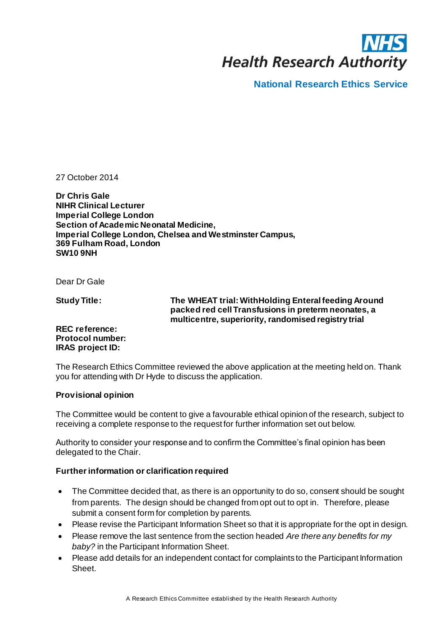

**National Research Ethics Service** 

27 October 2014

**Dr Chris Gale NIHR Clinical Lecturer Imperial College London Section of Academic Neonatal Medicine, Imperial College London, Chelsea and Westminster Campus, 369 Fulham Road, London SW10 9NH** 

Dear Dr Gale

**Study Title:**

**The WHEAT trial: WithHolding Enteral feeding Around packed red cell Transfusions in preterm neonates, a multicentre, superiority, randomised registry trial** 

## **REC reference: Protocol number: IRAS project ID:**

The Research Ethics Committee reviewed the above application at the meeting held on. Thank you for attending with Dr Hyde to discuss the application.

#### **Provisional opinion**

The Committee would be content to give a favourable ethical opinion of the research, subject to receiving a complete response to the request for further information set out below.

Authority to consider your response and to confirm the Committee's final opinion has been delegated to the Chair.

## **Further information or clarification required**

- The Committee decided that, as there is an opportunity to do so, consent should be sought from parents. The design should be changed from opt out to opt in. Therefore, please submit a consent form for completion by parents.
- Please revise the Participant Information Sheet so that it is appropriate for the opt in design.
- Please remove the last sentence from the section headed *Are there any benefits for my baby?* in the Participant Information Sheet.
- Please add details for an independent contact for complaints to the Participant Information Sheet.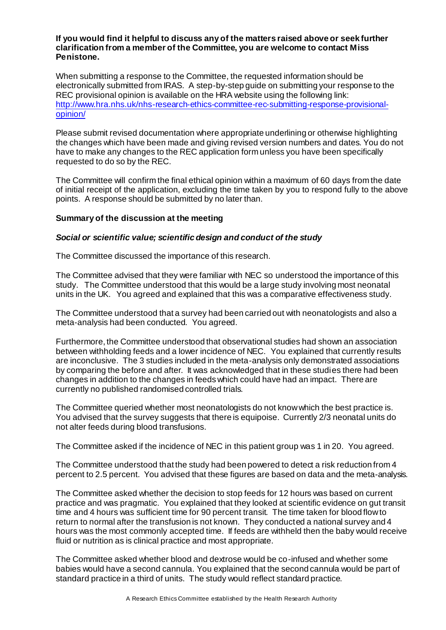#### **If you would find it helpful to discuss any of the matters raised above or seek further clarification from a member of the Committee, you are welcome to contact Miss Penistone.**

When submitting a response to the Committee, the requested information should be electronically submitted from IRAS. A step-by-step guide on submitting your response to the REC provisional opinion is available on the HRA website using the following link: [http://www.hra.nhs.uk/nhs-research-ethics-committee-rec-submitting-response-provisional](http://www.hra.nhs.uk/nhs-research-ethics-committee-rec-submitting-response-provisional-opinion/)[opinion/](http://www.hra.nhs.uk/nhs-research-ethics-committee-rec-submitting-response-provisional-opinion/)

Please submit revised documentation where appropriate underlining or otherwise highlighting the changes which have been made and giving revised version numbers and dates. You do not have to make any changes to the REC application form unless you have been specifically requested to do so by the REC.

The Committee will confirm the final ethical opinion within a maximum of 60 days from the date of initial receipt of the application, excluding the time taken by you to respond fully to the above points. A response should be submitted by no later than.

## **Summary of the discussion at the meeting**

### *Social or scientific value; scientific design and conduct of the study*

The Committee discussed the importance of this research.

The Committee advised that they were familiar with NEC so understood the importance of this study. The Committee understood that this would be a large study involving most neonatal units in the UK. You agreed and explained that this was a comparative effectiveness study.

The Committee understood that a survey had been carried out with neonatologists and also a meta-analysis had been conducted. You agreed.

Furthermore, the Committee understood that observational studies had shown an association between withholding feeds and a lower incidence of NEC. You explained that currently results are inconclusive. The 3 studies included in the meta-analysis only demonstrated associations by comparing the before and after. It was acknowledged that in these studies there had been changes in addition to the changes in feeds which could have had an impact. There are currently no published randomised controlled trials.

The Committee queried whether most neonatologists do not know which the best practice is. You advised that the survey suggests that there is equipoise. Currently 2/3 neonatal units do not alter feeds during blood transfusions.

The Committee asked if the incidence of NEC in this patient group was 1 in 20. You agreed.

The Committee understood that the study had been powered to detect a risk reduction from 4 percent to 2.5 percent. You advised that these figures are based on data and the meta-analysis.

The Committee asked whether the decision to stop feeds for 12 hours was based on current practice and was pragmatic. You explained that they looked at scientific evidence on gut transit time and 4 hours was sufficient time for 90 percent transit. The time taken for blood flow to return to normal after the transfusion is not known. They conducted a national survey and 4 hours was the most commonly accepted time. If feeds are withheld then the baby would receive fluid or nutrition as is clinical practice and most appropriate.

The Committee asked whether blood and dextrose would be co-infused and whether some babies would have a second cannula. You explained that the second cannula would be part of standard practice in a third of units. The study would reflect standard practice.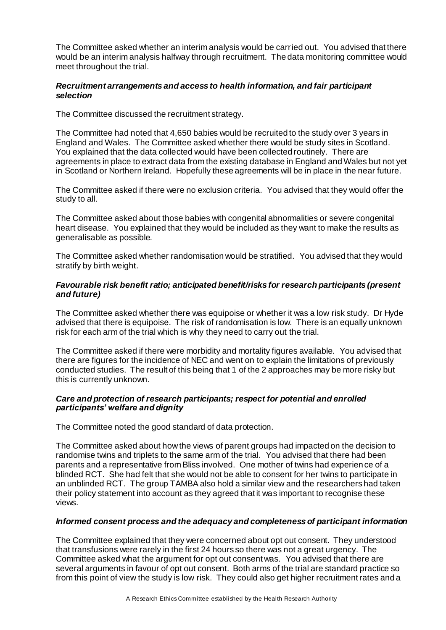The Committee asked whether an interim analysis would be carried out. You advised that there would be an interim analysis halfway through recruitment. The data monitoring committee would meet throughout the trial.

## *Recruitment arrangements and access to health information, and fair participant selection*

The Committee discussed the recruitment strategy.

The Committee had noted that 4,650 babies would be recruited to the study over 3 years in England and Wales. The Committee asked whether there would be study sites in Scotland. You explained that the data collected would have been collected routinely. There are agreements in place to extract data from the existing database in England and Wales but not yet in Scotland or Northern Ireland. Hopefully these agreements will be in place in the near future.

The Committee asked if there were no exclusion criteria. You advised that they would offer the study to all.

The Committee asked about those babies with congenital abnormalities or severe congenital heart disease. You explained that they would be included as they want to make the results as generalisable as possible.

The Committee asked whether randomisation would be stratified. You advised that they would stratify by birth weight.

## *Favourable risk benefit ratio; anticipated benefit/risks for research participants (present and future)*

The Committee asked whether there was equipoise or whether it was a low risk study. Dr Hyde advised that there is equipoise. The risk of randomisation is low. There is an equally unknown risk for each arm of the trial which is why they need to carry out the trial.

The Committee asked if there were morbidity and mortality figures available. You advised that there are figures for the incidence of NEC and went on to explain the limitations of previously conducted studies. The result of this being that 1 of the 2 approaches may be more risky but this is currently unknown.

### *Care and protection of research participants; respect for potential and enrolled participants' welfare and dignity*

The Committee noted the good standard of data protection.

The Committee asked about how the views of parent groups had impacted on the decision to randomise twins and triplets to the same arm of the trial. You advised that there had been parents and a representative from Bliss involved. One mother of twins had experience of a blinded RCT. She had felt that she would not be able to consent for her twins to participate in an unblinded RCT. The group TAMBA also hold a similar view and the researchers had taken their policy statement into account as they agreed that it was important to recognise these views.

## *Informed consent process and the adequacy and completeness of participant information*

The Committee explained that they were concerned about opt out consent. They understood that transfusions were rarely in the first 24 hours so there was not a great urgency. The Committee asked what the argument for opt out consent was. You advised that there are several arguments in favour of opt out consent. Both arms of the trial are standard practice so from this point of view the study is low risk. They could also get higher recruitment rates and a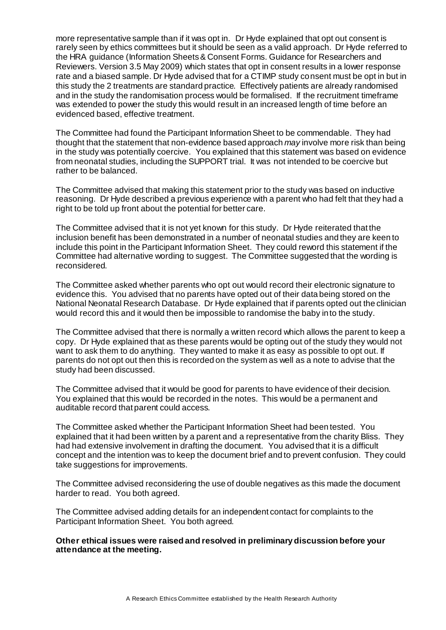more representative sample than if it was opt in. Dr Hyde explained that opt out consent is rarely seen by ethics committees but it should be seen as a valid approach. Dr Hyde referred to the HRA guidance (Information Sheets & Consent Forms. Guidance for Researchers and Reviewers. Version 3.5 May 2009) which states that opt in consent results in a lower response rate and a biased sample. Dr Hyde advised that for a CTIMP study consent must be opt in but in this study the 2 treatments are standard practice. Effectively patients are already randomised and in the study the randomisation process would be formalised. If the recruitment timeframe was extended to power the study this would result in an increased length of time before an evidenced based, effective treatment.

The Committee had found the Participant Information Sheet to be commendable. They had thought that the statement that non-evidence based approach *may* involve more risk than being in the study was potentially coercive. You explained that this statement was based on evidence from neonatal studies, including the SUPPORT trial. It was not intended to be coercive but rather to be balanced.

The Committee advised that making this statement prior to the study was based on inductive reasoning. Dr Hyde described a previous experience with a parent who had felt that they had a right to be told up front about the potential for better care.

The Committee advised that it is not yet known for this study. Dr Hyde reiterated that the inclusion benefit has been demonstrated in a number of neonatal studies and they are keen to include this point in the Participant Information Sheet. They could reword this statement if the Committee had alternative wording to suggest. The Committee suggested that the wording is reconsidered.

The Committee asked whether parents who opt out would record their electronic signature to evidence this. You advised that no parents have opted out of their data being stored on the National Neonatal Research Database. Dr Hyde explained that if parents opted out the clinician would record this and it would then be impossible to randomise the baby into the study.

The Committee advised that there is normally a written record which allows the parent to keep a copy. Dr Hyde explained that as these parents would be opting out of the study they would not want to ask them to do anything. They wanted to make it as easy as possible to opt out. If parents do not opt out then this is recorded on the system as well as a note to advise that the study had been discussed.

The Committee advised that it would be good for parents to have evidence of their decision. You explained that this would be recorded in the notes. This would be a permanent and auditable record that parent could access.

The Committee asked whether the Participant Information Sheet had been tested. You explained that it had been written by a parent and a representative from the charity Bliss. They had had extensive involvement in drafting the document. You advised that it is a difficult concept and the intention was to keep the document brief and to prevent confusion. They could take suggestions for improvements.

The Committee advised reconsidering the use of double negatives as this made the document harder to read. You both agreed.

The Committee advised adding details for an independent contact for complaints to the Participant Information Sheet. You both agreed.

**Other ethical issues were raised and resolved in preliminary discussion before your attendance at the meeting.**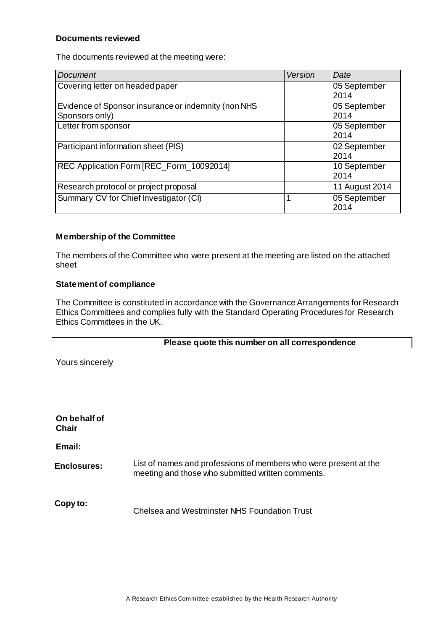## **Documents reviewed**

The documents reviewed at the meeting were:

| Document                                                              | Version | Date                 |
|-----------------------------------------------------------------------|---------|----------------------|
| Covering letter on headed paper                                       |         | 05 September<br>2014 |
| Evidence of Sponsor insurance or indemnity (non NHS<br>Sponsors only) |         | 05 September<br>2014 |
| Letter from sponsor                                                   |         | 05 September<br>2014 |
| Participant information sheet (PIS)                                   |         | 02 September<br>2014 |
| REC Application Form [REC_Form_10092014]                              |         | 10 September<br>2014 |
| Research protocol or project proposal                                 |         | 11 August 2014       |
| Summary CV for Chief Investigator (CI)                                |         | 05 September<br>2014 |

### **Membership of the Committee**

The members of the Committee who were present at the meeting are listed on the attached sheet

### **Statement of compliance**

The Committee is constituted in accordance with the Governance Arrangements for Research Ethics Committees and complies fully with the Standard Operating Procedures for Research Ethics Committees in the UK.

## **Please quote this number on all correspondence**

Yours sincerely

| On behalf of       |                                                                                                                       |
|--------------------|-----------------------------------------------------------------------------------------------------------------------|
| <b>Chair</b>       |                                                                                                                       |
| Email:             |                                                                                                                       |
| <b>Enclosures:</b> | List of names and professions of members who were present at the<br>meeting and those who submitted written comments. |
| Copy to:           | Chelsea and Westminster NHS Foundation Trust                                                                          |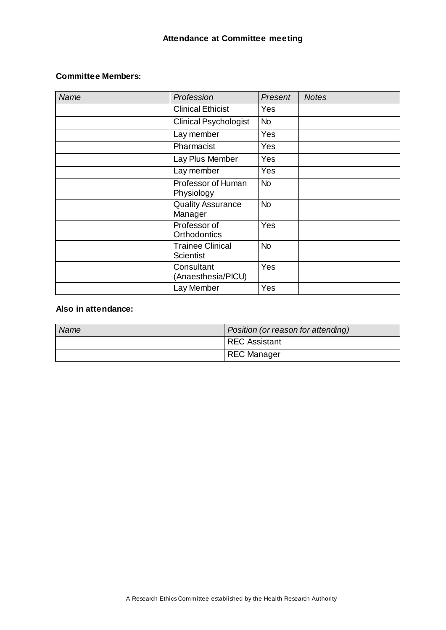## **Attendance at Committee meeting**

## **Committee Members:**

| Name | Profession                                  | Present   | <b>Notes</b> |
|------|---------------------------------------------|-----------|--------------|
|      | <b>Clinical Ethicist</b>                    | Yes       |              |
|      | <b>Clinical Psychologist</b>                | <b>No</b> |              |
|      | Lay member                                  | Yes       |              |
|      | Pharmacist                                  | Yes       |              |
|      | Lay Plus Member                             | Yes       |              |
|      | Lay member                                  | Yes       |              |
|      | Professor of Human<br>Physiology            | <b>No</b> |              |
|      | <b>Quality Assurance</b><br>Manager         | <b>No</b> |              |
|      | Professor of<br><b>Orthodontics</b>         | Yes       |              |
|      | <b>Trainee Clinical</b><br><b>Scientist</b> | <b>No</b> |              |
|      | Consultant<br>(Anaesthesia/PICU)            | Yes       |              |
|      | Lay Member                                  | Yes       |              |

## **Also in attendance:**

| Name | Position (or reason for attending) |
|------|------------------------------------|
|      | <b>REC Assistant</b>               |
|      | <b>REC Manager</b>                 |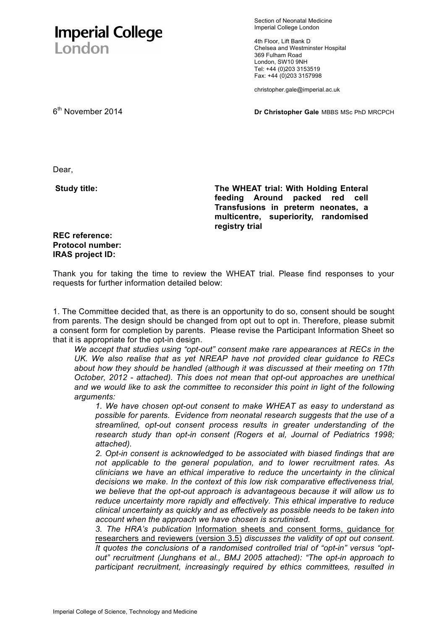# **Imperial College** London

Section of Neonatal Medicine Imperial College London

4th Floor, Lift Bank D Chelsea and Westminster Hospital 369 Fulham Road London, SW10 9NH Tel: +44 (0)203 3153519 Fax: +44 (0)203 3157998

christopher.gale@imperial.ac.uk

6th November 2014 **Dr Christopher Gale** MBBS MSc PhD MRCPCH

Dear,

**Study title:** 

**The WHEAT trial: With Holding Enteral feeding Around packed red cell Transfusions in preterm neonates, a multicentre, superiority, randomised registry trial** 

**REC reference: Protocol number: IRAS project ID:** 

Thank you for taking the time to review the WHEAT trial. Please find responses to your requests for further information detailed below:

1. The Committee decided that, as there is an opportunity to do so, consent should be sought from parents. The design should be changed from opt out to opt in. Therefore, please submit a consent form for completion by parents. Please revise the Participant Information Sheet so that it is appropriate for the opt-in design.

*We accept that studies using "opt-out" consent make rare appearances at RECs in the UK. We also realise that as yet NREAP have not provided clear guidance to RECs about how they should be handled (although it was discussed at their meeting on 17th October, 2012 - attached). This does not mean that opt-out approaches are unethical and we would like to ask the committee to reconsider this point in light of the following arguments:*

*1. We have chosen opt-out consent to make WHEAT as easy to understand as possible for parents. Evidence from neonatal research suggests that the use of a streamlined, opt-out consent process results in greater understanding of the research study than opt-in consent (Rogers et al, Journal of Pediatrics 1998; attached).*

*2. Opt-in consent is acknowledged to be associated with biased findings that are not applicable to the general population, and to lower recruitment rates. As clinicians we have an ethical imperative to reduce the uncertainty in the clinical decisions we make. In the context of this low risk comparative effectiveness trial, we believe that the opt-out approach is advantageous because it will allow us to reduce uncertainty more rapidly and effectively. This ethical imperative to reduce clinical uncertainty as quickly and as effectively as possible needs to be taken into account when the approach we have chosen is scrutinised.*

*3. The HRA's publication* Information sheets and consent forms, guidance for researchers and reviewers (version 3.5) *discusses the validity of opt out consent. It quotes the conclusions of a randomised controlled trial of "opt-in" versus "optout" recruitment (Junghans et al., BMJ 2005 attached): "The opt-in approach to participant recruitment, increasingly required by ethics committees, resulted in*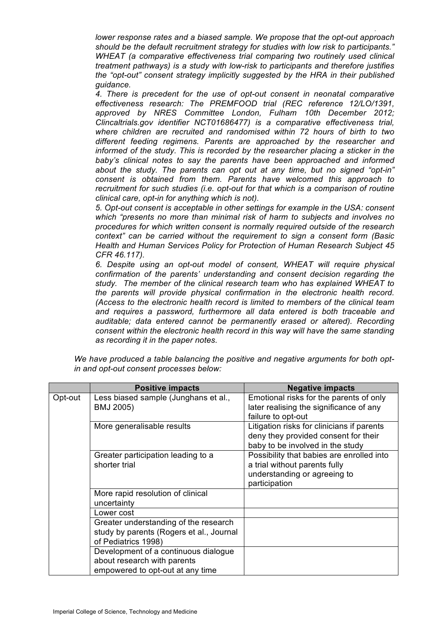. *lower response rates and a biased sample. We propose that the opt-out approach should be the default recruitment strategy for studies with low risk to participants." WHEAT (a comparative effectiveness trial comparing two routinely used clinical treatment pathways) is a study with low-risk to participants and therefore justifies the "opt-out" consent strategy implicitly suggested by the HRA in their published guidance.*

*4. There is precedent for the use of opt-out consent in neonatal comparative effectiveness research: The PREMFOOD trial (REC reference 12/LO/1391, approved by NRES Committee London, Fulham 10th December 2012; Clincaltrials.gov identifier NCT01686477) is a comparative effectiveness trial, where children are recruited and randomised within 72 hours of birth to two different feeding regimens. Parents are approached by the researcher and informed of the study. This is recorded by the researcher placing a sticker in the baby's clinical notes to say the parents have been approached and informed about the study. The parents can opt out at any time, but no signed "opt-in" consent is obtained from them. Parents have welcomed this approach to recruitment for such studies (i.e. opt-out for that which is a comparison of routine clinical care, opt-in for anything which is not).* 

*5. Opt-out consent is acceptable in other settings for example in the USA: consent which "presents no more than minimal risk of harm to subjects and involves no procedures for which written consent is normally required outside of the research context" can be carried without the requirement to sign a consent form (Basic Health and Human Services Policy for Protection of Human Research Subject 45 CFR 46.117).*

*6. Despite using an opt-out model of consent, WHEAT will require physical confirmation of the parents' understanding and consent decision regarding the study. The member of the clinical research team who has explained WHEAT to the parents will provide physical confirmation in the electronic health record. (Access to the electronic health record is limited to members of the clinical team and requires a password, furthermore all data entered is both traceable and*  auditable; data entered cannot be permanently erased or altered). Recording *consent within the electronic health record in this way will have the same standing as recording it in the paper notes.*

|         | <b>Positive impacts</b>                                                                                  | <b>Negative impacts</b>                                                                                                     |
|---------|----------------------------------------------------------------------------------------------------------|-----------------------------------------------------------------------------------------------------------------------------|
| Opt-out | Less biased sample (Junghans et al.,<br>BMJ 2005)                                                        | Emotional risks for the parents of only<br>later realising the significance of any<br>failure to opt-out                    |
|         | More generalisable results                                                                               | Litigation risks for clinicians if parents<br>deny they provided consent for their<br>baby to be involved in the study      |
|         | Greater participation leading to a<br>shorter trial                                                      | Possibility that babies are enrolled into<br>a trial without parents fully<br>understanding or agreeing to<br>participation |
|         | More rapid resolution of clinical<br>uncertainty                                                         |                                                                                                                             |
|         | Lower cost                                                                                               |                                                                                                                             |
|         | Greater understanding of the research<br>study by parents (Rogers et al., Journal<br>of Pediatrics 1998) |                                                                                                                             |
|         | Development of a continuous dialogue<br>about research with parents<br>empowered to opt-out at any time  |                                                                                                                             |

*We have produced a table balancing the positive and negative arguments for both optin and opt-out consent processes below:*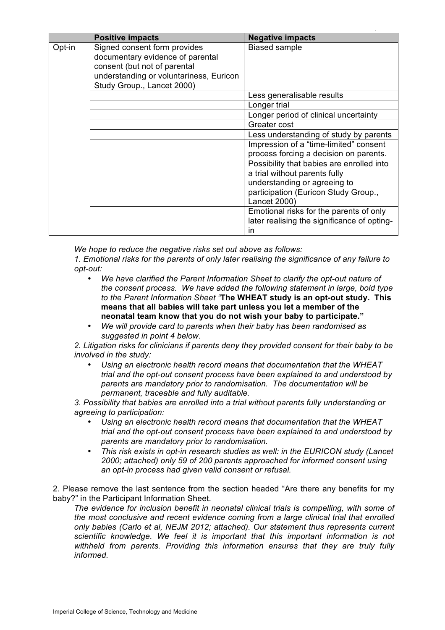|        | <b>Positive impacts</b>                                                                                                                                                   | <b>Negative impacts</b>                                                                                                                                            |
|--------|---------------------------------------------------------------------------------------------------------------------------------------------------------------------------|--------------------------------------------------------------------------------------------------------------------------------------------------------------------|
| Opt-in | Signed consent form provides<br>documentary evidence of parental<br>consent (but not of parental<br>understanding or voluntariness, Euricon<br>Study Group., Lancet 2000) | <b>Biased sample</b>                                                                                                                                               |
|        |                                                                                                                                                                           | Less generalisable results                                                                                                                                         |
|        |                                                                                                                                                                           | Longer trial                                                                                                                                                       |
|        |                                                                                                                                                                           | Longer period of clinical uncertainty                                                                                                                              |
|        |                                                                                                                                                                           | Greater cost                                                                                                                                                       |
|        |                                                                                                                                                                           | Less understanding of study by parents                                                                                                                             |
|        |                                                                                                                                                                           | Impression of a "time-limited" consent<br>process forcing a decision on parents.                                                                                   |
|        |                                                                                                                                                                           | Possibility that babies are enrolled into<br>a trial without parents fully<br>understanding or agreeing to<br>participation (Euricon Study Group.,<br>Lancet 2000) |
|        |                                                                                                                                                                           | Emotional risks for the parents of only<br>later realising the significance of opting-<br>in                                                                       |

*We hope to reduce the negative risks set out above as follows:* 

*1. Emotional risks for the parents of only later realising the significance of any failure to opt-out:*

- *We have clarified the Parent Information Sheet to clarify the opt-out nature of the consent process. We have added the following statement in large, bold type to the Parent Information Sheet "***The WHEAT study is an opt-out study. This means that all babies will take part unless you let a member of the neonatal team know that you do not wish your baby to participate."**
- *We will provide card to parents when their baby has been randomised as suggested in point 4 below.*

*2. Litigation risks for clinicians if parents deny they provided consent for their baby to be involved in the study:*

• *Using an electronic health record means that documentation that the WHEAT trial and the opt-out consent process have been explained to and understood by parents are mandatory prior to randomisation. The documentation will be permanent, traceable and fully auditable.*

*3. Possibility that babies are enrolled into a trial without parents fully understanding or agreeing to participation:*

- *Using an electronic health record means that documentation that the WHEAT trial and the opt-out consent process have been explained to and understood by parents are mandatory prior to randomisation.*
- *This risk exists in opt-in research studies as well: in the EURICON study (Lancet 2000; attached) only 59 of 200 parents approached for informed consent using an opt-in process had given valid consent or refusal.*

2. Please remove the last sentence from the section headed "Are there any benefits for my baby?" in the Participant Information Sheet.

*The evidence for inclusion benefit in neonatal clinical trials is compelling, with some of the most conclusive and recent evidence coming from a large clinical trial that enrolled only babies (Carlo et al, NEJM 2012; attached). Our statement thus represents current scientific knowledge. We feel it is important that this important information is not withheld from parents. Providing this information ensures that they are truly fully informed.*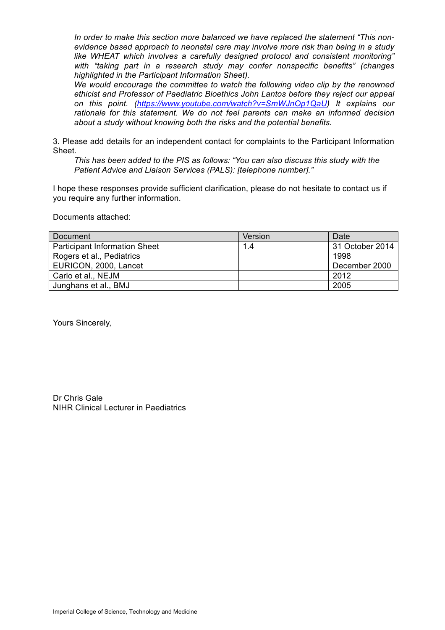. *In order to make this section more balanced we have replaced the statement "This nonevidence based approach to neonatal care may involve more risk than being in a study like WHEAT which involves a carefully designed protocol and consistent monitoring" with "taking part in a research study may confer nonspecific benefits" (changes highlighted in the Participant Information Sheet).*

*We would encourage the committee to watch the following video clip by the renowned ethicist and Professor of Paediatric Bioethics John Lantos before they reject our appeal on this point. (https://www.youtube.com/watch?v=SmWJnOp1QaU) It explains our rationale for this statement. We do not feel parents can make an informed decision about a study without knowing both the risks and the potential benefits.* 

3. Please add details for an independent contact for complaints to the Participant Information Sheet.

*This has been added to the PIS as follows: "You can also discuss this study with the Patient Advice and Liaison Services (PALS): [telephone number]."*

I hope these responses provide sufficient clarification, please do not hesitate to contact us if you require any further information.

Documents attached:

| Document                             | Version | Date            |
|--------------------------------------|---------|-----------------|
| <b>Participant Information Sheet</b> | 1.4     | 31 October 2014 |
| Rogers et al., Pediatrics            |         | 1998            |
| EURICON, 2000, Lancet                |         | December 2000   |
| Carlo et al., NEJM                   |         | 2012            |
| Junghans et al., BMJ                 |         | 2005            |

Yours Sincerely,

Dr Chris Gale NIHR Clinical Lecturer in Paediatrics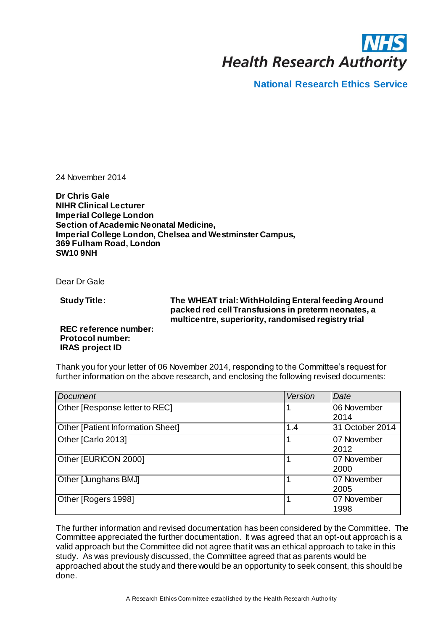

**National Research Ethics Service** 

24 November 2014

**Dr Chris Gale NIHR Clinical Lecturer Imperial College London Section of Academic Neonatal Medicine, Imperial College London, Chelsea and Westminster Campus, 369 Fulham Road, London SW10 9NH** 

Dear Dr Gale

**Study Title:**

**The WHEAT trial: WithHolding Enteral feeding Around packed red cell Transfusions in preterm neonates, a multicentre, superiority, randomised registry trial** 

#### **REC reference number: Protocol number: IRAS project ID**

Thank you for your letter of 06 November 2014, responding to the Committee's request for further information on the above research, and enclosing the following revised documents:

| <b>Document</b>                          | Version | Date                |
|------------------------------------------|---------|---------------------|
| Other [Response letter to REC]           |         | 06 November<br>2014 |
| <b>Other [Patient Information Sheet]</b> | 1.4     | 31 October 2014     |
| Other [Carlo 2013]                       |         | 07 November<br>2012 |
| Other [EURICON 2000]                     |         | 07 November<br>2000 |
| Other [Junghans BMJ]                     |         | 07 November<br>2005 |
| Other [Rogers 1998]                      |         | 07 November<br>1998 |

The further information and revised documentation has been considered by the Committee. The Committee appreciated the further documentation. It was agreed that an opt-out approach is a valid approach but the Committee did not agree that it was an ethical approach to take in this study. As was previously discussed, the Committee agreed that as parents would be approached about the study and there would be an opportunity to seek consent, this should be done.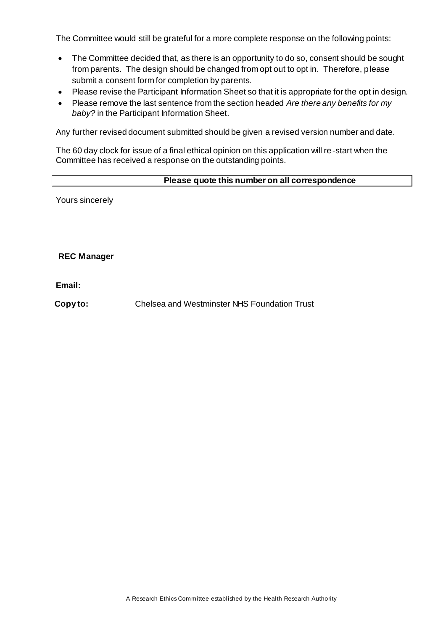The Committee would still be grateful for a more complete response on the following points:

- The Committee decided that, as there is an opportunity to do so, consent should be sought from parents. The design should be changed from opt out to opt in. Therefore, please submit a consent form for completion by parents.
- Please revise the Participant Information Sheet so that it is appropriate for the opt in design.
- Please remove the last sentence from the section headed *Are there any benefits for my baby?* in the Participant Information Sheet.

Any further revised document submitted should be given a revised version number and date.

The 60 day clock for issue of a final ethical opinion on this application will re-start when the Committee has received a response on the outstanding points.

### **Please quote this number on all correspondence**

Yours sincerely

## **REC Manager**

**Email:**

**Copy to:** Chelsea and Westminster NHS Foundation Trust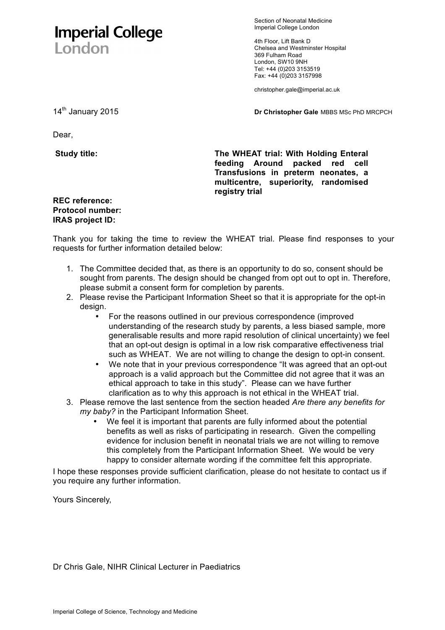# **Imperial College** London

Section of Neonatal Medicine Imperial College London

4th Floor, Lift Bank D Chelsea and Westminster Hospital 369 Fulham Road London, SW10 9NH Tel: +44 (0)203 3153519 Fax: +44 (0)203 3157998

christopher.gale@imperial.ac.uk

14th January 2015 **Dr Christopher Gale** MBBS MSc PhD MRCPCH

Dear,

**Study title:** 

**The WHEAT trial: With Holding Enteral feeding Around packed red cell Transfusions in preterm neonates, a multicentre, superiority, randomised registry trial** 

#### **REC reference: Protocol number: IRAS project ID:**

Thank you for taking the time to review the WHEAT trial. Please find responses to your requests for further information detailed below:

- 1. The Committee decided that, as there is an opportunity to do so, consent should be sought from parents. The design should be changed from opt out to opt in. Therefore, please submit a consent form for completion by parents.
- 2. Please revise the Participant Information Sheet so that it is appropriate for the opt-in design.
	- For the reasons outlined in our previous correspondence (improved understanding of the research study by parents, a less biased sample, more generalisable results and more rapid resolution of clinical uncertainty) we feel that an opt-out design is optimal in a low risk comparative effectiveness trial such as WHEAT. We are not willing to change the design to opt-in consent.
	- We note that in your previous correspondence "It was agreed that an opt-out approach is a valid approach but the Committee did not agree that it was an ethical approach to take in this study". Please can we have further clarification as to why this approach is not ethical in the WHEAT trial.
- 3. Please remove the last sentence from the section headed *Are there any benefits for my baby?* in the Participant Information Sheet.
	- We feel it is important that parents are fully informed about the potential benefits as well as risks of participating in research. Given the compelling evidence for inclusion benefit in neonatal trials we are not willing to remove this completely from the Participant Information Sheet. We would be very happy to consider alternate wording if the committee felt this appropriate.

I hope these responses provide sufficient clarification, please do not hesitate to contact us if you require any further information.

Yours Sincerely,

Dr Chris Gale, NIHR Clinical Lecturer in Paediatrics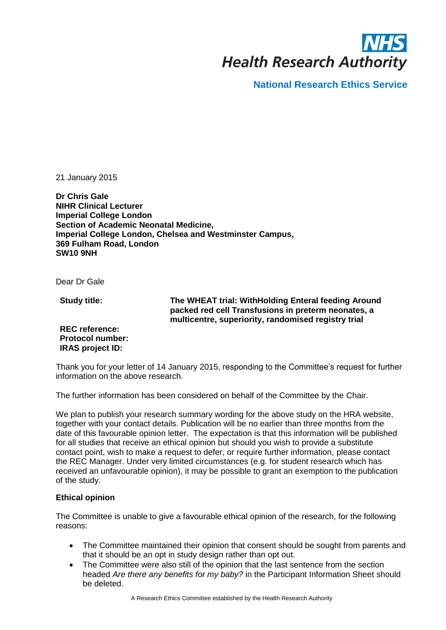

**National Research Ethics Service**

21 January 2015

**Dr Chris Gale NIHR Clinical Lecturer Imperial College London Section of Academic Neonatal Medicine, Imperial College London, Chelsea and Westminster Campus, 369 Fulham Road, London SW10 9NH** 

Dear Dr Gale

**Study title:**

**The WHEAT trial: WithHolding Enteral feeding Around packed red cell Transfusions in preterm neonates, a multicentre, superiority, randomised registry trial** 

**REC reference: Protocol number: IRAS project ID:**

Thank you for your letter of 14 January 2015, responding to the Committee's request for further information on the above research.

The further information has been considered on behalf of the Committee by the Chair.

We plan to publish your research summary wording for the above study on the HRA website, together with your contact details. Publication will be no earlier than three months from the date of this favourable opinion letter. The expectation is that this information will be published for all studies that receive an ethical opinion but should you wish to provide a substitute contact point, wish to make a request to defer, or require further information, please contact the REC Manager. Under very limited circumstances (e.g. for student research which has received an unfavourable opinion), it may be possible to grant an exemption to the publication of the study.

## **Ethical opinion**

The Committee is unable to give a favourable ethical opinion of the research, for the following reasons:

- The Committee maintained their opinion that consent should be sought from parents and that it should be an opt in study design rather than opt out.
- The Committee were also still of the opinion that the last sentence from the section headed *Are there any benefits for my baby?* in the Participant Information Sheet should be deleted.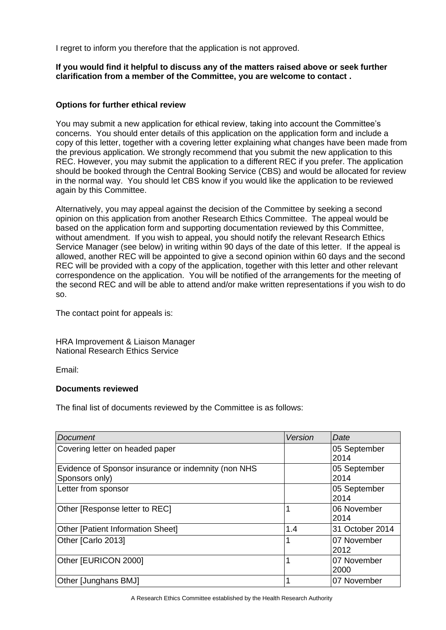I regret to inform you therefore that the application is not approved.

#### **If you would find it helpful to discuss any of the matters raised above or seek further clarification from a member of the Committee, you are welcome to contact .**

### **Options for further ethical review**

You may submit a new application for ethical review, taking into account the Committee's concerns. You should enter details of this application on the application form and include a copy of this letter, together with a covering letter explaining what changes have been made from the previous application. We strongly recommend that you submit the new application to this REC. However, you may submit the application to a different REC if you prefer. The application should be booked through the Central Booking Service (CBS) and would be allocated for review in the normal way. You should let CBS know if you would like the application to be reviewed again by this Committee.

Alternatively, you may appeal against the decision of the Committee by seeking a second opinion on this application from another Research Ethics Committee. The appeal would be based on the application form and supporting documentation reviewed by this Committee, without amendment. If you wish to appeal, you should notify the relevant Research Ethics Service Manager (see below) in writing within 90 days of the date of this letter. If the appeal is allowed, another REC will be appointed to give a second opinion within 60 days and the second REC will be provided with a copy of the application, together with this letter and other relevant correspondence on the application. You will be notified of the arrangements for the meeting of the second REC and will be able to attend and/or make written representations if you wish to do so.

The contact point for appeals is:

HRA Improvement & Liaison Manager National Research Ethics Service

Email:

## **Documents reviewed**

The final list of documents reviewed by the Committee is as follows:

| Document                                                              | Version | Date                 |
|-----------------------------------------------------------------------|---------|----------------------|
| Covering letter on headed paper                                       |         | 05 September<br>2014 |
| Evidence of Sponsor insurance or indemnity (non NHS<br>Sponsors only) |         | 05 September<br>2014 |
| Letter from sponsor                                                   |         | 05 September<br>2014 |
| Other [Response letter to REC]                                        |         | 06 November<br>2014  |
| <b>Other [Patient Information Sheet]</b>                              | 1.4     | 31 October 2014      |
| Other [Carlo 2013]                                                    |         | 07 November<br>2012  |
| Other [EURICON 2000]                                                  |         | 07 November<br>2000  |
| Other [Junghans BMJ]                                                  |         | 07 November          |